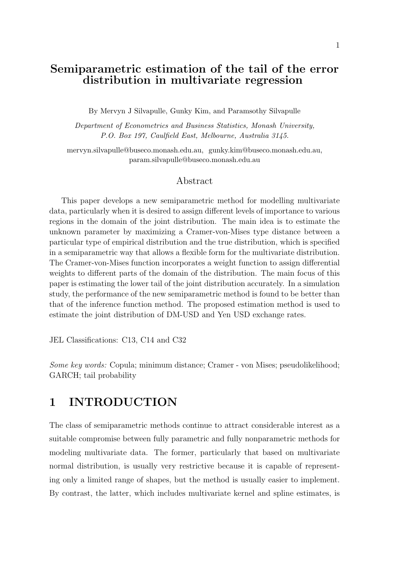# Semiparametric estimation of the tail of the error distribution in multivariate regression

By Mervyn J Silvapulle, Gunky Kim, and Paramsothy Silvapulle

Department of Econometrics and Business Statistics, Monash University, P.O. Box 197, Caulfield East, Melbourne, Australia 3145.

mervyn.silvapulle@buseco.monash.edu.au, gunky.kim@buseco.monash.edu.au, param.silvapulle@buseco.monash.edu.au

### Abstract

This paper develops a new semiparametric method for modelling multivariate data, particularly when it is desired to assign different levels of importance to various regions in the domain of the joint distribution. The main idea is to estimate the unknown parameter by maximizing a Cramer-von-Mises type distance between a particular type of empirical distribution and the true distribution, which is specified in a semiparametric way that allows a flexible form for the multivariate distribution. The Cramer-von-Mises function incorporates a weight function to assign differential weights to different parts of the domain of the distribution. The main focus of this paper is estimating the lower tail of the joint distribution accurately. In a simulation study, the performance of the new semiparametric method is found to be better than that of the inference function method. The proposed estimation method is used to estimate the joint distribution of DM-USD and Yen USD exchange rates.

JEL Classifications: C13, C14 and C32

Some key words: Copula; minimum distance; Cramer - von Mises; pseudolikelihood; GARCH; tail probability

# 1 INTRODUCTION

The class of semiparametric methods continue to attract considerable interest as a suitable compromise between fully parametric and fully nonparametric methods for modeling multivariate data. The former, particularly that based on multivariate normal distribution, is usually very restrictive because it is capable of representing only a limited range of shapes, but the method is usually easier to implement. By contrast, the latter, which includes multivariate kernel and spline estimates, is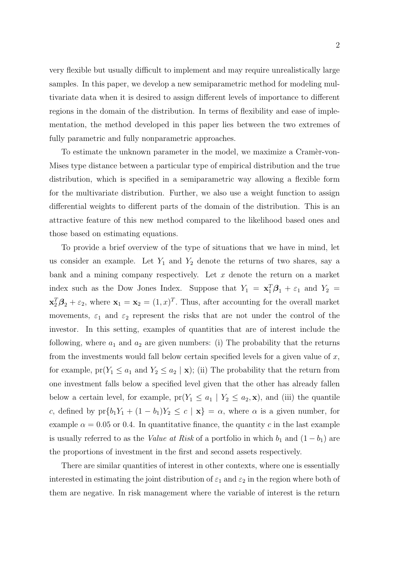very flexible but usually difficult to implement and may require unrealistically large samples. In this paper, we develop a new semiparametric method for modeling multivariate data when it is desired to assign different levels of importance to different regions in the domain of the distribution. In terms of flexibility and ease of implementation, the method developed in this paper lies between the two extremes of fully parametric and fully nonparametric approaches.

To estimate the unknown parameter in the model, we maximize a Cramer-von-Mises type distance between a particular type of empirical distribution and the true distribution, which is specified in a semiparametric way allowing a flexible form for the multivariate distribution. Further, we also use a weight function to assign differential weights to different parts of the domain of the distribution. This is an attractive feature of this new method compared to the likelihood based ones and those based on estimating equations.

To provide a brief overview of the type of situations that we have in mind, let us consider an example. Let  $Y_1$  and  $Y_2$  denote the returns of two shares, say a bank and a mining company respectively. Let  $x$  denote the return on a market index such as the Dow Jones Index. Suppose that  $Y_1 = \mathbf{x}_1^T \boldsymbol{\beta}_1 + \varepsilon_1$  and  $Y_2 =$  $\mathbf{x}_2^T \boldsymbol{\beta}_2 + \varepsilon_2$ , where  $\mathbf{x}_1 = \mathbf{x}_2 = (1, x)^T$ . Thus, after accounting for the overall market movements,  $\varepsilon_1$  and  $\varepsilon_2$  represent the risks that are not under the control of the investor. In this setting, examples of quantities that are of interest include the following, where  $a_1$  and  $a_2$  are given numbers: (i) The probability that the returns from the investments would fall below certain specified levels for a given value of  $x$ , for example,  $pr(Y_1 \le a_1 \text{ and } Y_2 \le a_2 | \mathbf{x})$ ; (ii) The probability that the return from one investment falls below a specified level given that the other has already fallen below a certain level, for example,  $pr(Y_1 \le a_1 | Y_2 \le a_2, \mathbf{x})$ , and (iii) the quantile c, defined by  $pr{b_1Y_1 + (1 - b_1)Y_2 \le c \mid \mathbf{x}} = \alpha$ , where  $\alpha$  is a given number, for example  $\alpha = 0.05$  or 0.4. In quantitative finance, the quantity c in the last example is usually referred to as the Value at Risk of a portfolio in which  $b_1$  and  $(1 - b_1)$  are the proportions of investment in the first and second assets respectively.

There are similar quantities of interest in other contexts, where one is essentially interested in estimating the joint distribution of  $\varepsilon_1$  and  $\varepsilon_2$  in the region where both of them are negative. In risk management where the variable of interest is the return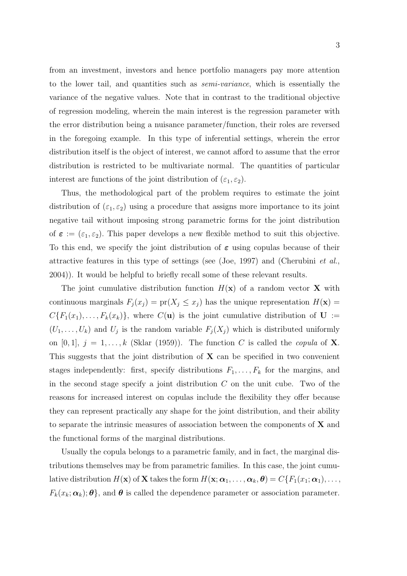from an investment, investors and hence portfolio managers pay more attention to the lower tail, and quantities such as semi-variance, which is essentially the variance of the negative values. Note that in contrast to the traditional objective of regression modeling, wherein the main interest is the regression parameter with the error distribution being a nuisance parameter/function, their roles are reversed in the foregoing example. In this type of inferential settings, wherein the error distribution itself is the object of interest, we cannot afford to assume that the error distribution is restricted to be multivariate normal. The quantities of particular interest are functions of the joint distribution of  $(\varepsilon_1, \varepsilon_2)$ .

Thus, the methodological part of the problem requires to estimate the joint distribution of  $(\varepsilon_1, \varepsilon_2)$  using a procedure that assigns more importance to its joint negative tail without imposing strong parametric forms for the joint distribution of  $\epsilon := (\epsilon_1, \epsilon_2)$ . This paper develops a new flexible method to suit this objective. To this end, we specify the joint distribution of  $\varepsilon$  using copulas because of their attractive features in this type of settings (see (Joe, 1997) and (Cherubini *et al.*, 2004)). It would be helpful to briefly recall some of these relevant results.

The joint cumulative distribution function  $H(\mathbf{x})$  of a random vector **X** with continuous marginals  $F_j(x_j) = \text{pr}(X_j \leq x_j)$  has the unique representation  $H(\mathbf{x}) =$  $C\{F_1(x_1), \ldots, F_k(x_k)\}\$ , where  $C(\mathbf{u})$  is the joint cumulative distribution of  $\mathbf{U} :=$  $(U_1, \ldots, U_k)$  and  $U_j$  is the random variable  $F_j(X_j)$  which is distributed uniformly on [0, 1],  $j = 1, ..., k$  (Sklar (1959)). The function C is called the *copula* of **X**. This suggests that the joint distribution of  $X$  can be specified in two convenient stages independently: first, specify distributions  $F_1, \ldots, F_k$  for the margins, and in the second stage specify a joint distribution  $C$  on the unit cube. Two of the reasons for increased interest on copulas include the flexibility they offer because they can represent practically any shape for the joint distribution, and their ability to separate the intrinsic measures of association between the components of X and the functional forms of the marginal distributions.

Usually the copula belongs to a parametric family, and in fact, the marginal distributions themselves may be from parametric families. In this case, the joint cumulative distribution  $H(\mathbf{x})$  of **X** takes the form  $H(\mathbf{x}; \alpha_1, \ldots, \alpha_k, \boldsymbol{\theta}) = C\{F_1(x_1; \alpha_1), \ldots, F_k(x_k; \alpha_k)\}$  $F_k(x_k; \alpha_k); \theta$ , and  $\theta$  is called the dependence parameter or association parameter.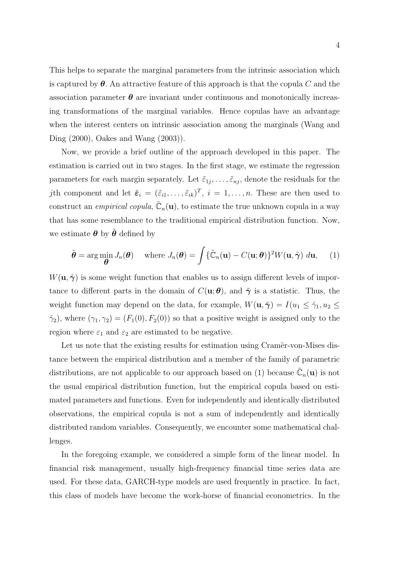This helps to separate the marginal parameters from the intrinsic association which is captured by  $\theta$ . An attractive feature of this approach is that the copula C and the association parameter  $\theta$  are invariant under continuous and monotonically increasing transformations of the marginal variables. Hence copulas have an advantage when the interest centers on intrinsic association among the marginals (Wang and Ding (2000), Oakes and Wang (2003)).

Now, we provide a brief outline of the approach developed in this paper. The estimation is carried out in two stages. In the first stage, we estimate the regression parameters for each margin separately. Let  $\tilde{\varepsilon}_{1j}, \ldots, \tilde{\varepsilon}_{nj}$ , denote the residuals for the *j*th component and let  $\tilde{\epsilon}_i = (\tilde{\epsilon}_{i1}, \ldots, \tilde{\epsilon}_{ik})^T$ ,  $i = 1, \ldots, n$ . These are then used to construct an *empirical copula*,  $\tilde{C}_n(\mathbf{u})$ , to estimate the true unknown copula in a way that has some resemblance to the traditional empirical distribution function. Now, we estimate  $\boldsymbol{\theta}$  by  $\tilde{\boldsymbol{\theta}}$  defined by

$$
\tilde{\boldsymbol{\theta}} = \arg\min_{\boldsymbol{\theta}} J_n(\boldsymbol{\theta}) \quad \text{where } J_n(\boldsymbol{\theta}) = \int {\{\tilde{\mathbb{C}}_n(\mathbf{u}) - C(\mathbf{u};\boldsymbol{\theta})\}^2 W(\mathbf{u}, \tilde{\boldsymbol{\gamma}}) d\mathbf{u}}, \quad (1)
$$

 $W(\mathbf{u}, \tilde{\boldsymbol{\gamma}})$  is some weight function that enables us to assign different levels of importance to different parts in the domain of  $C(\mathbf{u}; \boldsymbol{\theta})$ , and  $\tilde{\boldsymbol{\gamma}}$  is a statistic. Thus, the weight function may depend on the data, for example,  $W(\mathbf{u}, \tilde{\boldsymbol{\gamma}}) = I(u_1 \leq \hat{\gamma}_1, u_2 \leq$  $\hat{\gamma}_2$ , where  $(\gamma_1, \gamma_2) = (F_1(0), F_2(0))$  so that a positive weight is assigned only to the region where  $\varepsilon_1$  and  $\varepsilon_2$  are estimated to be negative.

Let us note that the existing results for estimation using Cramer-von-Mises distance between the empirical distribution and a member of the family of parametric distributions, are not applicable to our approach based on (1) because  $\tilde{\mathbb{C}}_n(\mathbf{u})$  is not the usual empirical distribution function, but the empirical copula based on estimated parameters and functions. Even for independently and identically distributed observations, the empirical copula is not a sum of independently and identically distributed random variables. Consequently, we encounter some mathematical challenges.

In the foregoing example, we considered a simple form of the linear model. In financial risk management, usually high-frequency financial time series data are used. For these data, GARCH-type models are used frequently in practice. In fact, this class of models have become the work-horse of financial econometrics. In the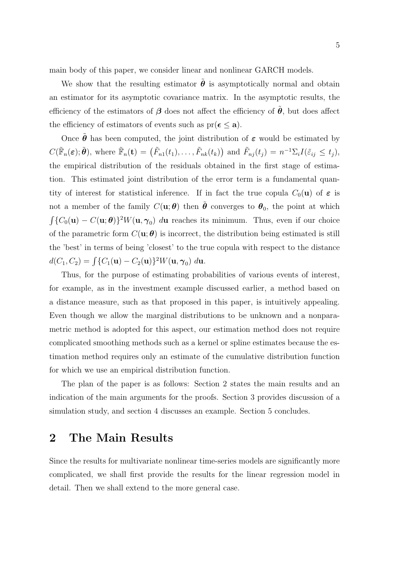main body of this paper, we consider linear and nonlinear GARCH models.

We show that the resulting estimator  $\tilde{\theta}$  is asymptotically normal and obtain an estimator for its asymptotic covariance matrix. In the asymptotic results, the efficiency of the estimators of  $\beta$  does not affect the efficiency of  $\theta$ , but does affect the efficiency of estimators of events such as  $pr(\epsilon \le a)$ .

Once  $\tilde{\theta}$  has been computed, the joint distribution of  $\varepsilon$  would be estimated by  $C(\tilde{\mathbb{F}}_n(\boldsymbol{\varepsilon});\tilde{\boldsymbol{\theta}}), \text{ where } \tilde{\mathbb{F}}_n(\mathbf{t}) = (\tilde{F}_{n1}(t_1),\ldots,\tilde{F}_{nk}(t_k))$ ) and  $\tilde{F}_{nj}(t_j) = n^{-1} \Sigma_i I(\tilde{\varepsilon}_{ij} \leq t_j),$ the empirical distribution of the residuals obtained in the first stage of estimation. This estimated joint distribution of the error term is a fundamental quantity of interest for statistical inference. If in fact the true copula  $C_0(\mathbf{u})$  of  $\varepsilon$  is not a member of the family  $C(\mathbf{u};\boldsymbol{\theta})$  then  $\tilde{\boldsymbol{\theta}}$  converges to  $\boldsymbol{\theta}_0$ , the point at which R  ${C_0(\mathbf{u}) - C(\mathbf{u};\theta)}^2$ W $(\mathbf{u}, \gamma_0)$  du reaches its minimum. Thus, even if our choice of the parametric form  $C(\mathbf{u};\boldsymbol{\theta})$  is incorrect, the distribution being estimated is still the 'best' in terms of being 'closest' to the true copula with respect to the distance  $d(C_1, C_2) = \int \{C_1(\mathbf{u}) - C_2(\mathbf{u})\}^2 W(\mathbf{u}, \gamma_0) \ d\mathbf{u}.$ 

Thus, for the purpose of estimating probabilities of various events of interest, for example, as in the investment example discussed earlier, a method based on a distance measure, such as that proposed in this paper, is intuitively appealing. Even though we allow the marginal distributions to be unknown and a nonparametric method is adopted for this aspect, our estimation method does not require complicated smoothing methods such as a kernel or spline estimates because the estimation method requires only an estimate of the cumulative distribution function for which we use an empirical distribution function.

The plan of the paper is as follows: Section 2 states the main results and an indication of the main arguments for the proofs. Section 3 provides discussion of a simulation study, and section 4 discusses an example. Section 5 concludes.

# 2 The Main Results

Since the results for multivariate nonlinear time-series models are significantly more complicated, we shall first provide the results for the linear regression model in detail. Then we shall extend to the more general case.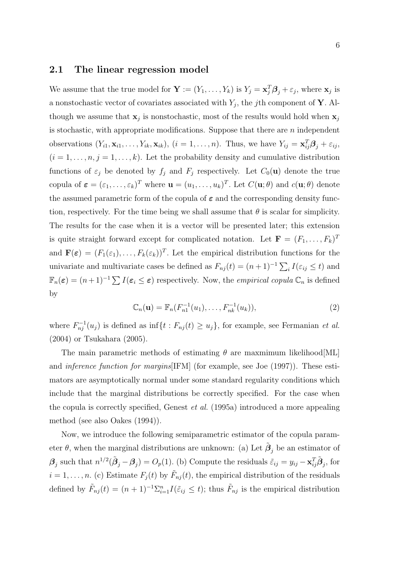### 2.1 The linear regression model

We assume that the true model for  $\mathbf{Y} := (Y_1, \ldots, Y_k)$  is  $Y_j = \mathbf{x}_j^T \boldsymbol{\beta}_j + \varepsilon_j$ , where  $\mathbf{x}_j$  is a nonstochastic vector of covariates associated with  $Y_j$ , the j<sup>th</sup> component of **Y**. Although we assume that  $\mathbf{x}_j$  is nonstochastic, most of the results would hold when  $\mathbf{x}_j$ is stochastic, with appropriate modifications. Suppose that there are  $n$  independent observations  $(Y_{i1}, \mathbf{x}_{i1}, \dots, Y_{ik}, \mathbf{x}_{ik}), (i = 1, \dots, n)$ . Thus, we have  $Y_{ij} = \mathbf{x}_{ij}^T \boldsymbol{\beta}_j + \varepsilon_{ij}$ ,  $(i = 1, \ldots, n, j = 1, \ldots, k)$ . Let the probability density and cumulative distribution functions of  $\varepsilon_j$  be denoted by  $f_j$  and  $F_j$  respectively. Let  $C_0(\mathbf{u})$  denote the true copula of  $\boldsymbol{\varepsilon} = (\varepsilon_1, \ldots, \varepsilon_k)^T$  where  $\mathbf{u} = (u_1, \ldots, u_k)^T$ . Let  $C(\mathbf{u}; \theta)$  and  $c(\mathbf{u}; \theta)$  denote the assumed parametric form of the copula of  $\varepsilon$  and the corresponding density function, respectively. For the time being we shall assume that  $\theta$  is scalar for simplicity. The results for the case when it is a vector will be presented later; this extension is quite straight forward except for complicated notation. Let  $\mathbf{F} = (F_1, \ldots, F_k)^T$ and  $\mathbf{F}(\boldsymbol{\varepsilon}) = (F_1(\varepsilon_1), \dots, F_k(\varepsilon_k))^T$ . Let the empirical distribution functions for the univariate and multivariate cases be defined as  $F_{nj}(t) = (n+1)^{-1} \sum_i I(\varepsilon_{ij} \leq t)$  and  $\mathbb{F}_n(\varepsilon) = (n+1)^{-1} \sum I(\varepsilon_i \leq \varepsilon)$  respectively. Now, the *empirical copula*  $\mathbb{C}_n$  is defined by

$$
\mathbb{C}_n(\mathbf{u}) = \mathbb{F}_n(F_{n1}^{-1}(u_1), \dots, F_{nk}^{-1}(u_k)),\tag{2}
$$

where  $F_{nj}^{-1}(u_j)$  is defined as  $\inf\{t: F_{nj}(t) \ge u_j\}$ , for example, see Fermanian *et al.* (2004) or Tsukahara (2005).

The main parametric methods of estimating  $\theta$  are maxmimum likelihood [ML] and inference function for margins[IFM] (for example, see Joe (1997)). These estimators are asymptotically normal under some standard regularity conditions which include that the marginal distributions be correctly specified. For the case when the copula is correctly specified, Genest et al. (1995a) introduced a more appealing method (see also Oakes (1994)).

Now, we introduce the following semiparametric estimator of the copula parameter  $\theta$ , when the marginal distributions are unknown: (a) Let  $\tilde{\beta}_j$  be an estimator of  $\beta_j$  such that  $n^{1/2}(\tilde{\beta}_j - \beta_j) = O_p(1)$ . (b) Compute the residuals  $\tilde{\varepsilon}_{ij} = y_{ij} - \mathbf{x}_{ij}^T \tilde{\boldsymbol{\beta}}_j$ , for  $i = 1, \ldots, n$ . (c) Estimate  $F_j(t)$  by  $\tilde{F}_{nj}(t)$ , the empirical distribution of the residuals defined by  $\tilde{F}_{nj}(t) = (n+1)^{-1} \sum_{i=1}^n I(\tilde{\varepsilon}_{ij} \leq t)$ ; thus  $\tilde{F}_{nj}$  is the empirical distribution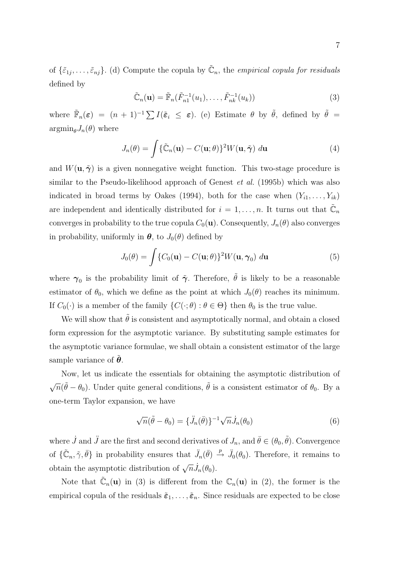of  $\{\tilde{\varepsilon}_{1j},\ldots,\tilde{\varepsilon}_{nj}\}.$  (d) Compute the copula by  $\tilde{\mathbb{C}}_n$ , the *empirical copula for residuals* defined by

$$
\tilde{\mathbb{C}}_n(\mathbf{u}) = \tilde{\mathbb{F}}_n(\tilde{F}_{n1}^{-1}(u_1), \dots, \tilde{F}_{nk}^{-1}(u_k))
$$
\n(3)

where  $\tilde{\mathbb{F}}_n(\varepsilon) = (n+1)^{-1} \sum I(\tilde{\varepsilon}_i \leq \varepsilon)$ . (e) Estimate  $\theta$  by  $\tilde{\theta}$ , defined by  $\tilde{\theta} =$  $\operatorname{argmin}_{\theta} J_n(\theta)$  where

$$
J_n(\theta) = \int {\{\tilde{\mathbb{C}}_n(\mathbf{u}) - C(\mathbf{u};\theta)\} }^2 W(\mathbf{u}, \tilde{\boldsymbol{\gamma}}) d\mathbf{u}
$$
 (4)

and  $W(\mathbf{u}, \tilde{\boldsymbol{\gamma}})$  is a given nonnegative weight function. This two-stage procedure is similar to the Pseudo-likelihood approach of Genest *et al.* (1995b) which was also indicated in broad terms by Oakes (1994), both for the case when  $(Y_{i1}, \ldots, Y_{ik})$ are independent and identically distributed for  $i = 1, \ldots, n$ . It turns out that  $\tilde{\mathbb{C}}_n$ converges in probability to the true copula  $C_0(\mathbf{u})$ . Consequently,  $J_n(\theta)$  also converges in probability, uniformly in  $\boldsymbol{\theta}$ , to  $J_0(\theta)$  defined by

$$
J_0(\theta) = \int \{C_0(\mathbf{u}) - C(\mathbf{u}; \theta)\}^2 W(\mathbf{u}, \gamma_0) \, d\mathbf{u}
$$
 (5)

where  $\gamma_0$  is the probability limit of  $\tilde{\gamma}$ . Therefore,  $\tilde{\theta}$  is likely to be a reasonable estimator of  $\theta_0$ , which we define as the point at which  $J_0(\theta)$  reaches its minimum. If  $C_0(\cdot)$  is a member of the family  $\{C(\cdot;\theta): \theta \in \Theta\}$  then  $\theta_0$  is the true value.

We will show that  $\tilde{\theta}$  is consistent and asymptotically normal, and obtain a closed form expression for the asymptotic variance. By substituting sample estimates for the asymptotic variance formulae, we shall obtain a consistent estimator of the large sample variance of  $\ddot{\theta}$ .

Now, let us indicate the essentials for obtaining the asymptotic distribution of √  $\overline{n}(\tilde{\theta}-\theta_0)$ . Under quite general conditions,  $\tilde{\theta}$  is a consistent estimator of  $\theta_0$ . By a one-term Taylor expansion, we have

$$
\sqrt{n}(\tilde{\theta} - \theta_0) = {\{\ddot{J}_n(\bar{\theta})\}}^{-1} \sqrt{n} \dot{J}_n(\theta_0)
$$
\n(6)

where  $\dot{J}$  and  $\ddot{J}$  are the first and second derivatives of  $J_n$ , and  $\bar{\theta} \in (\theta_0, \tilde{\theta})$ . Convergence of  $\{\tilde{\mathbb{C}}_n, \tilde{\gamma}, \bar{\theta}\}\$ in probability ensures that  $\ddot{J}_n(\bar{\theta}) \stackrel{p}{\rightarrow} \ddot{J}_0(\theta_0)$ . Therefore, it remains to obtain the asymptotic distribution of  $\sqrt{n} \dot{J}_n(\theta_0)$ .

Note that  $\tilde{\mathbb{C}}_n(\mathbf{u})$  in (3) is different from the  $\mathbb{C}_n(\mathbf{u})$  in (2), the former is the empirical copula of the residuals  $\tilde{\varepsilon}_1, \ldots, \tilde{\varepsilon}_n$ . Since residuals are expected to be close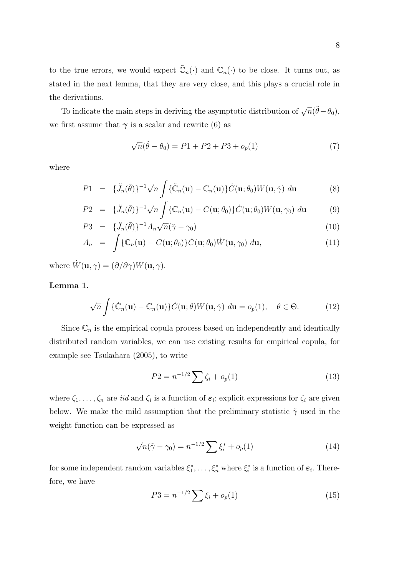to the true errors, we would expect  $\tilde{\mathbb{C}}_n(\cdot)$  and  $\mathbb{C}_n(\cdot)$  to be close. It turns out, as stated in the next lemma, that they are very close, and this plays a crucial role in the derivations.

To indicate the main steps in deriving the asymptotic distribution of  $\sqrt{n}(\tilde{\theta}-\theta_0)$ , we first assume that  $\gamma$  is a scalar and rewrite (6) as

$$
\sqrt{n}(\tilde{\theta} - \theta_0) = P1 + P2 + P3 + o_p(1)
$$
\n(7)

where

$$
P1 = \{\ddot{J}_n(\bar{\theta})\}^{-1} \sqrt{n} \int \{\tilde{\mathbb{C}}_n(\mathbf{u}) - \mathbb{C}_n(\mathbf{u})\} \dot{C}(\mathbf{u}; \theta_0) W(\mathbf{u}, \tilde{\gamma}) d\mathbf{u}
$$
(8)

$$
P2 = \{\ddot{J}_n(\bar{\theta})\}^{-1} \sqrt{n} \int \{\mathbb{C}_n(\mathbf{u}) - C(\mathbf{u}; \theta_0)\} \dot{C}(\mathbf{u}; \theta_0) W(\mathbf{u}, \gamma_0) d\mathbf{u} \tag{9}
$$

$$
P3 = \{\ddot{J}_n(\bar{\theta})\}^{-1} A_n \sqrt{n} (\tilde{\gamma} - \gamma_0)
$$
\n
$$
(10)
$$

$$
A_n = \int {\mathbb{C}_n(\mathbf{u}) - C(\mathbf{u}; \theta_0)} \dot{C}(\mathbf{u}; \theta_0) \dot{W}(\mathbf{u}, \gamma_0) d\mathbf{u}, \qquad (11)
$$

where  $\dot{W}(\mathbf{u}, \gamma) = (\partial/\partial \gamma)W(\mathbf{u}, \gamma)$ .

### Lemma 1.

$$
\sqrt{n}\int \{\tilde{\mathbb{C}}_n(\mathbf{u})-\mathbb{C}_n(\mathbf{u})\}\dot{C}(\mathbf{u};\theta)W(\mathbf{u},\tilde{\gamma})\ d\mathbf{u}=o_p(1),\quad \theta\in\Theta.
$$
 (12)

Since  $\mathbb{C}_n$  is the empirical copula process based on independently and identically distributed random variables, we can use existing results for empirical copula, for example see Tsukahara (2005), to write

$$
P2 = n^{-1/2} \sum \zeta_i + o_p(1) \tag{13}
$$

where  $\zeta_1,\ldots,\zeta_n$  are *iid* and  $\zeta_i$  is a function of  $\varepsilon_i$ ; explicit expressions for  $\zeta_i$  are given below. We make the mild assumption that the preliminary statistic  $\tilde{\gamma}$  used in the weight function can be expressed as

$$
\sqrt{n}(\tilde{\gamma} - \gamma_0) = n^{-1/2} \sum \xi_i^* + o_p(1)
$$
 (14)

for some independent random variables  $\xi_1^*, \ldots, \xi_n^*$  where  $\xi_i^*$  is a function of  $\varepsilon_i$ . Therefore, we have

$$
P3 = n^{-1/2} \sum \xi_i + o_p(1) \tag{15}
$$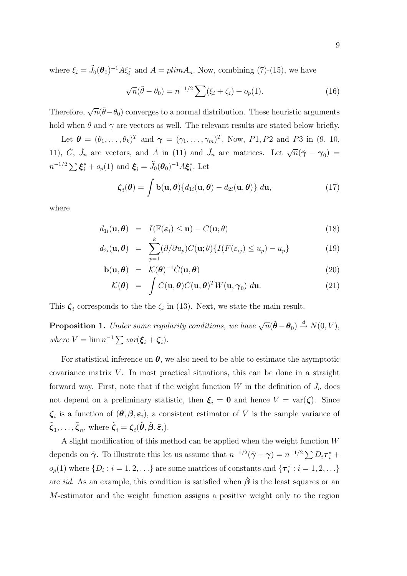where  $\xi_i = \ddot{J}_0(\theta_0)^{-1} A \xi_i^*$  and  $A = plim A_n$ . Now, combining (7)-(15), we have

$$
\sqrt{n}(\tilde{\theta} - \theta_0) = n^{-1/2} \sum (\xi_i + \zeta_i) + o_p(1).
$$
 (16)

Therefore,  $\sqrt{n}(\tilde{\theta}-\theta_0)$  converges to a normal distribution. These heuristic arguments hold when  $\theta$  and  $\gamma$  are vectors as well. The relevant results are stated below briefly.

Let  $\boldsymbol{\theta} = (\theta_1, \ldots, \theta_k)^T$  and  $\boldsymbol{\gamma} = (\gamma_1, \ldots, \gamma_m)^T$ . Now, P1, P2 and P3 in (9, 10, 11), C,  $\dot{J}_n$  are vectors, and A in (11) and  $\ddot{J}_n$  are matrices. Let  $\sqrt{n}(\tilde{\gamma} - \gamma_0)$  =  $n^{-1/2} \sum \boldsymbol{\xi}_i^* + o_p(1)$  and  $\boldsymbol{\xi}_i = \ddot{J}_0(\boldsymbol{\theta}_0)^{-1} A \boldsymbol{\xi}_i^*$  $i^*$ . Let

$$
\boldsymbol{\zeta}_i(\boldsymbol{\theta}) = \int \mathbf{b}(\mathbf{u}, \boldsymbol{\theta}) \{ d_{1i}(\mathbf{u}, \boldsymbol{\theta}) - d_{2i}(\mathbf{u}, \boldsymbol{\theta}) \} d\mathbf{u},
$$
\n(17)

where

$$
d_{1i}(\mathbf{u}, \boldsymbol{\theta}) = I(\mathbb{F}(\varepsilon_i) \le \mathbf{u}) - C(\mathbf{u}; \boldsymbol{\theta})
$$
\n(18)

$$
d_{2i}(\mathbf{u}, \boldsymbol{\theta}) = \sum_{p=1}^{k} (\partial/\partial u_p) C(\mathbf{u}; \theta) \{ I(F(\varepsilon_{ij}) \le u_p) - u_p \}
$$
(19)

$$
\mathbf{b}(\mathbf{u}, \boldsymbol{\theta}) = \mathcal{K}(\boldsymbol{\theta})^{-1} \dot{C}(\mathbf{u}, \boldsymbol{\theta}) \tag{20}
$$

$$
\mathcal{K}(\boldsymbol{\theta}) = \int \dot{C}(\mathbf{u}, \boldsymbol{\theta}) \dot{C}(\mathbf{u}, \boldsymbol{\theta})^T W(\mathbf{u}, \boldsymbol{\gamma}_0) d\mathbf{u}.
$$
\n(20)\n  
\n(21)

This  $\zeta_i$  corresponds to the the  $\zeta_i$  in (13). Next, we state the main result.

**Proposition 1.** Under some regularity conditions, we have  $\sqrt{n}(\tilde{\boldsymbol{\theta}} - \boldsymbol{\theta}_0) \stackrel{d}{\rightarrow} N(0, V)$ , where  $V = \lim_{n \to \infty} n^{-1} \sum_{i} \text{var}(\xi_i + \zeta_i).$ 

For statistical inference on  $\theta$ , we also need to be able to estimate the asymptotic covariance matrix  $V$ . In most practical situations, this can be done in a straight forward way. First, note that if the weight function  $W$  in the definition of  $J_n$  does not depend on a preliminary statistic, then  $\xi_i = 0$  and hence  $V = \text{var}(\zeta)$ . Since  $\zeta_i$  is a function of  $(\theta, \beta, \varepsilon_i)$ , a consistent estimator of V is the sample variance of  $\tilde{\boldsymbol{\zeta}}_1, \ldots, \tilde{\boldsymbol{\zeta}}_n$ , where  $\tilde{\boldsymbol{\zeta}}_i = \boldsymbol{\zeta}_i(\tilde{\boldsymbol{\theta}}, \tilde{\boldsymbol{\beta}}, \tilde{\boldsymbol{\varepsilon}}_i)$ .

A slight modification of this method can be applied when the weight function  $W$ depends on  $\tilde{\boldsymbol{\gamma}}$ . To illustrate this let us assume that  $n^{-1/2}(\tilde{\boldsymbol{\gamma}} - \boldsymbol{\gamma}) = n^{-1/2} \sum D_i \boldsymbol{\tau}_i^* +$  $o_p(1)$  where  $\{D_i : i = 1, 2, \ldots\}$  are some matrices of constants and  $\{\tau_i^* : i = 1, 2, \ldots\}$ are *iid.* As an example, this condition is satisfied when  $\beta$  is the least squares or an M-estimator and the weight function assigns a positive weight only to the region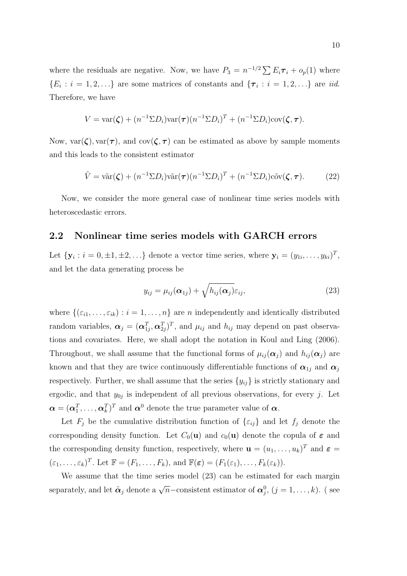where the residuals are negative. Now, we have  $P_3 = n^{-1/2} \sum E_i \tau_i + o_p(1)$  where  $\{E_i : i = 1, 2, \ldots\}$  are some matrices of constants and  $\{\tau_i : i = 1, 2, \ldots\}$  are *iid.* Therefore, we have

$$
V = \text{var}(\boldsymbol{\zeta}) + (n^{-1} \Sigma D_i) \text{var}(\boldsymbol{\tau}) (n^{-1} \Sigma D_i)^T + (n^{-1} \Sigma D_i) \text{cov}(\boldsymbol{\zeta}, \boldsymbol{\tau}).
$$

Now,  $var(\zeta)$ ,  $var(\tau)$ , and  $cov(\zeta, \tau)$  can be estimated as above by sample moments and this leads to the consistent estimator

$$
\tilde{V} = \tilde{\text{var}}(\zeta) + (n^{-1} \Sigma D_i) \tilde{\text{var}}(\tau) (n^{-1} \Sigma D_i)^T + (n^{-1} \Sigma D_i) c \tilde{\text{ov}}(\zeta, \tau).
$$
 (22)

Now, we consider the more general case of nonlinear time series models with heteroscedastic errors.

## 2.2 Nonlinear time series models with GARCH errors

Let  $\{y_i : i = 0, \pm 1, \pm 2, \ldots\}$  denote a vector time series, where  $y_i = (y_{1i}, \ldots, y_{ki})^T$ , and let the data generating process be

$$
y_{ij} = \mu_{ij}(\boldsymbol{\alpha}_{1j}) + \sqrt{h_{ij}(\boldsymbol{\alpha}_j)}\varepsilon_{ij},
$$
\n(23)

where  $\{(\varepsilon_{i1},\ldots,\varepsilon_{ik}): i=1,\ldots,n\}$  are *n* independently and identically distributed random variables,  $\boldsymbol{\alpha}_j = (\boldsymbol{\alpha}_{1j}^T, \boldsymbol{\alpha}_{2j}^T)^T$ , and  $\mu_{ij}$  and  $h_{ij}$  may depend on past observations and covariates. Here, we shall adopt the notation in Koul and Ling (2006). Throughout, we shall assume that the functional forms of  $\mu_{ij}(\alpha_j)$  and  $h_{ij}(\alpha_j)$  are known and that they are twice continuously differentiable functions of  $\alpha_{1j}$  and  $\alpha_j$ respectively. Further, we shall assume that the series  $\{y_{ij}\}$  is strictly stationary and ergodic, and that  $y_{0j}$  is independent of all previous observations, for every j. Let  $\boldsymbol{\alpha} = (\boldsymbol{\alpha}_1^T, \dots, \boldsymbol{\alpha}_k^T)^T$  and  $\boldsymbol{\alpha}^0$  denote the true parameter value of  $\boldsymbol{\alpha}$ .

Let  $F_i$  be the cumulative distribution function of  $\{\varepsilon_{ij}\}\$  and let  $f_i$  denote the corresponding density function. Let  $C_0(\mathbf{u})$  and  $c_0(\mathbf{u})$  denote the copula of  $\varepsilon$  and the corresponding density function, respectively, where  $\mathbf{u} = (u_1, \dots, u_k)^T$  and  $\boldsymbol{\varepsilon} =$  $(\varepsilon_1,\ldots,\varepsilon_k)^T$ . Let  $\mathbb{F}=(F_1,\ldots,F_k)$ , and  $\mathbb{F}(\varepsilon)=(F_1(\varepsilon_1),\ldots,F_k(\varepsilon_k)).$ 

We assume that the time series model  $(23)$  can be estimated for each margin separately, and let  $\tilde{\boldsymbol{\alpha}}_j$  denote a  $\sqrt{n}$ -consistent estimator of  $\boldsymbol{\alpha}_j^0$ ,  $(j = 1, \ldots, k)$ . (see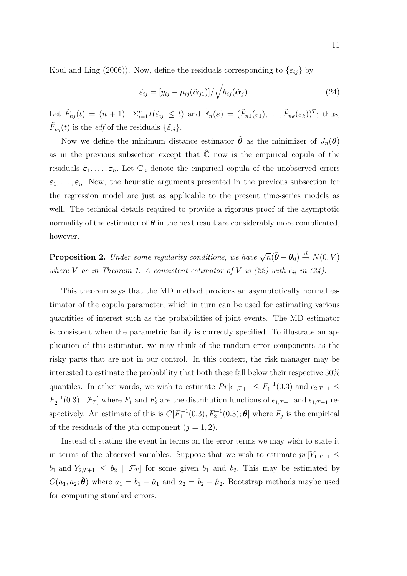Koul and Ling (2006)). Now, define the residuals corresponding to  $\{\varepsilon_{ij}\}$  by

$$
\tilde{\varepsilon}_{ij} = [y_{ij} - \mu_{ij}(\tilde{\boldsymbol{\alpha}}_{j1})] / \sqrt{h_{ij}(\tilde{\boldsymbol{\alpha}}_{j})}.
$$
\n(24)

Let  $\tilde{F}_{nj}(t) = (n+1)^{-1} \sum_{i=1}^n I(\tilde{\varepsilon}_{ij} \leq t)$  and  $\tilde{F}_n(\varepsilon) = (\tilde{F}_{n1}(\varepsilon_1), \ldots, \tilde{F}_{nk}(\varepsilon_k))^T$ ; thus,  $\tilde{F}_{nj}(t)$  is the *edf* of the residuals  $\{\tilde{\varepsilon}_{ij}\}.$ 

Now we define the minimum distance estimator  $\hat{\theta}$  as the minimizer of  $J_n(\theta)$ as in the previous subsection except that  $\tilde{\mathbb{C}}$  now is the empirical copula of the residuals  $\tilde{\epsilon}_1, \ldots, \tilde{\epsilon}_n$ . Let  $\mathbb{C}_n$  denote the empirical copula of the unobserved errors  $\varepsilon_1, \ldots, \varepsilon_n$ . Now, the heuristic arguments presented in the previous subsection for the regression model are just as applicable to the present time-series models as well. The technical details required to provide a rigorous proof of the asymptotic normality of the estimator of  $\theta$  in the next result are considerably more complicated, however.

**Proposition 2.** Under some regularity conditions, we have  $\sqrt{n}(\tilde{\boldsymbol{\theta}} - \boldsymbol{\theta}_0) \stackrel{d}{\rightarrow} N(0, V)$ where V as in Theorem 1. A consistent estimator of V is (22) with  $\tilde{\epsilon}_{ji}$  in (24).

This theorem says that the MD method provides an asymptotically normal estimator of the copula parameter, which in turn can be used for estimating various quantities of interest such as the probabilities of joint events. The MD estimator is consistent when the parametric family is correctly specified. To illustrate an application of this estimator, we may think of the random error components as the risky parts that are not in our control. In this context, the risk manager may be interested to estimate the probability that both these fall below their respective 30% quantiles. In other words, we wish to estimate  $Pr[\epsilon_{1,T+1} \leq F_1^{-1}(0.3)$  and  $\epsilon_{2,T+1} \leq$  $F_2^{-1}(0.3) | \mathcal{F}_T]$  where  $F_1$  and  $F_2$  are the distribution functions of  $\epsilon_{1,T+1}$  and  $\epsilon_{1,T+1}$  respectively. An estimate of this is  $C[\tilde{F}_1^{-1}(0.3), \tilde{F}_2^{-1}(0.3); \tilde{\theta}]$  where  $\tilde{F}_j$  is the empirical of the residuals of the j<sup>th</sup> component ( $j = 1, 2$ ).

Instead of stating the event in terms on the error terms we may wish to state it in terms of the observed variables. Suppose that we wish to estimate  $pr[Y_{1,T+1} \leq$  $b_1$  and  $Y_{2,T+1} \leq b_2 \mid \mathcal{F}_T$  for some given  $b_1$  and  $b_2$ . This may be estimated by  $C(a_1, a_2; \hat{\theta})$  where  $a_1 = b_1 - \hat{\mu}_1$  and  $a_2 = b_2 - \hat{\mu}_2$ . Bootstrap methods maybe used for computing standard errors.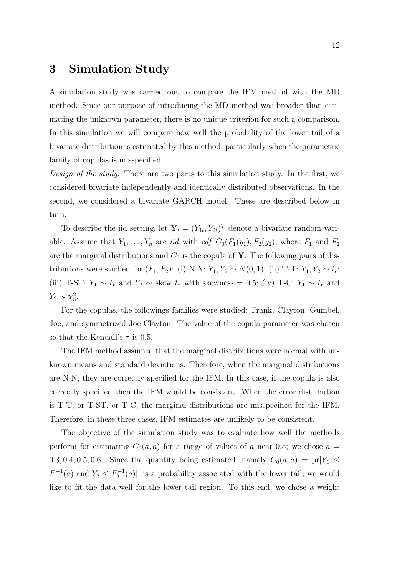## 3 Simulation Study

A simulation study was carried out to compare the IFM method with the MD method. Since our purpose of introducing the MD method was broader than estimating the unknown parameter, there is no unique criterion for such a comparison. In this simulation we will compare how well the probability of the lower tail of a bivariate distribution is estimated by this method, particularly when the parametric family of copulas is misspecified.

Design of the study: There are two parts to this simulation study. In the first, we considered bivariate independently and identically distributed observations. In the second, we considered a bivariate GARCH model. These are described below in turn.

To describe the iid setting, let  $\mathbf{Y}_t = (Y_{1t}, Y_{2t})^T$  denote a bivariate random variable. Assume that  $Y_1, \ldots, Y_n$  are *iid* with *cdf*  $C_0(F_1(y_1), F_2(y_2))$ , where  $F_1$  and  $F_2$ are the marginal distributions and  $C_0$  is the copula of Y. The following pairs of distributions were studied for  $(F_1, F_2)$ : (i) N-N:  $Y_1, Y_2 \sim N(0, 1)$ ; (ii) T-T:  $Y_1, Y_2 \sim t_r$ ; (iii) T-ST:  $Y_1 \sim t_r$  and  $Y_2 \sim$  skew  $t_r$  with skewness = 0.5; (iv) T-C:  $Y_1 \sim t_r$  and  $Y_2 \sim \chi_5^2$ .

For the copulas, the followings families were studied: Frank, Clayton, Gumbel, Joe, and symmetrized Joe-Clayton. The value of the copula parameter was chosen so that the Kendall's  $\tau$  is 0.5.

The IFM method assumed that the marginal distributions were normal with unknown means and standard deviations. Therefore, when the marginal distributions are N-N, they are correctly specified for the IFM. In this case, if the copula is also correctly specified then the IFM would be consistent. When the error distribution is T-T, or T-ST, or T-C, the marginal distributions are misspecified for the IFM. Therefore, in these three cases, IFM estimates are unlikely to be consistent.

The objective of the simulation study was to evaluate how well the methods perform for estimating  $C_0(a, a)$  for a range of values of a near 0.5; we chose  $a =$ 0.3, 0.4, 0.5, 0.6. Since the quantity being estimated, namely  $C_0(a, a) = \text{pr}[Y_1 \leq$  $F_1^{-1}(a)$  and  $Y_2 \leq F_2^{-1}(a)$ , is a probability associated with the lower tail, we would like to fit the data well for the lower tail region. To this end, we chose a weight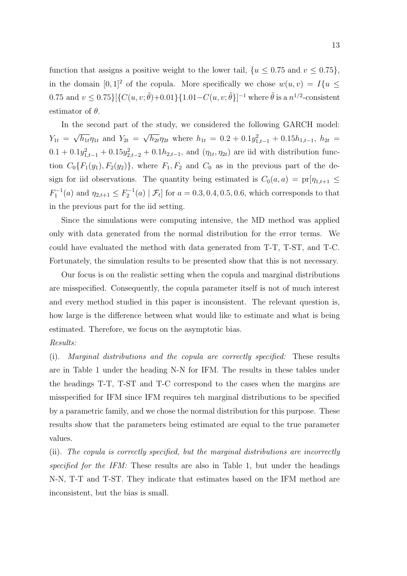function that assigns a positive weight to the lower tail,  $\{u \leq 0.75 \text{ and } v \leq 0.75\}$ , in the domain  $[0,1]^2$  of the copula. More specifically we chose  $w(u, v) = I\{u \leq$ 0.75 and  $v \le 0.75\{ \}$   $\{ C(u, v; \tilde{\theta}) + 0.01 \}$  {1.01 –  $C(u, v; \tilde{\theta})$ }<sup>-1</sup> where  $\tilde{\theta}$  is a  $n^{1/2}$ -consistent estimator of  $\theta$ .

In the second part of the study, we considered the following GARCH model:  $Y_{1t} =$ √  $\overline{h_{1t}}\eta_{1t}$  and  $Y_{2t} =$ √  $\overline{h_{2t}} \eta_{2t}$  where  $h_{1t} = 0.2 + 0.1y_{1,t-1}^2 + 0.15h_{1,t-1}, h_{2t} =$  $0.1 + 0.1y_{1,t-1}^2 + 0.15y_{2,t-2}^2 + 0.1h_{2,t-1}$ , and  $(\eta_{1t}, \eta_{2t})$  are iid with distribution function  $C_0\{F_1(y_1), F_2(y_2)\}\,$ , where  $F_1, F_2$  and  $C_0$  as in the previous part of the design for iid observations. The quantity being estimated is  $C_0(a, a) = \text{pr}[\eta_{1,t+1}] \le$  $F_1^{-1}(a)$  and  $\eta_{2,t+1} \le F_2^{-1}(a) | \mathcal{F}_t]$  for  $a = 0.3, 0.4, 0.5, 0.6$ , which corresponds to that in the previous part for the iid setting.

Since the simulations were computing intensive, the MD method was applied only with data generated from the normal distribution for the error terms. We could have evaluated the method with data generated from T-T, T-ST, and T-C. Fortunately, the simulation results to be presented show that this is not necessary.

Our focus is on the realistic setting when the copula and marginal distributions are misspecified. Consequently, the copula parameter itself is not of much interest and every method studied in this paper is inconsistent. The relevant question is, how large is the difference between what would like to estimate and what is being estimated. Therefore, we focus on the asymptotic bias.

### Results:

(i). Marginal distributions and the copula are correctly specified: These results are in Table 1 under the heading N-N for IFM. The results in these tables under the headings T-T, T-ST and T-C correspond to the cases when the margins are misspecified for IFM since IFM requires teh marginal distributions to be specified by a parametric family, and we chose the normal distribution for this purpose. These results show that the parameters being estimated are equal to the true parameter values.

(ii). The copula is correctly specified, but the marginal distributions are incorrectly specified for the IFM: These results are also in Table 1, but under the headings N-N, T-T and T-ST. They indicate that estimates based on the IFM method are inconsistent, but the bias is small.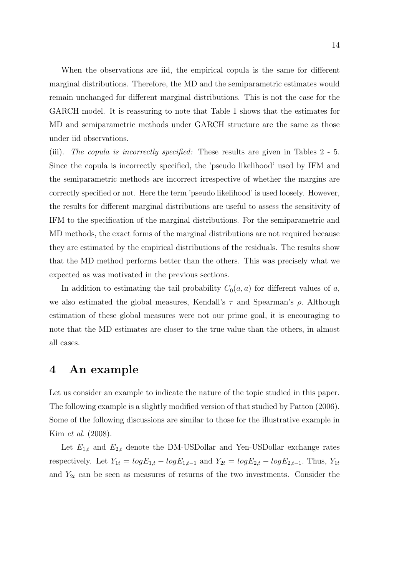When the observations are iid, the empirical copula is the same for different marginal distributions. Therefore, the MD and the semiparametric estimates would remain unchanged for different marginal distributions. This is not the case for the GARCH model. It is reassuring to note that Table 1 shows that the estimates for MD and semiparametric methods under GARCH structure are the same as those under iid observations.

(iii). The copula is incorrectly specified: These results are given in Tables 2 - 5. Since the copula is incorrectly specified, the 'pseudo likelihood' used by IFM and the semiparametric methods are incorrect irrespective of whether the margins are correctly specified or not. Here the term 'pseudo likelihood' is used loosely. However, the results for different marginal distributions are useful to assess the sensitivity of IFM to the specification of the marginal distributions. For the semiparametric and MD methods, the exact forms of the marginal distributions are not required because they are estimated by the empirical distributions of the residuals. The results show that the MD method performs better than the others. This was precisely what we expected as was motivated in the previous sections.

In addition to estimating the tail probability  $C_0(a, a)$  for different values of a, we also estimated the global measures, Kendall's  $\tau$  and Spearman's  $\rho$ . Although estimation of these global measures were not our prime goal, it is encouraging to note that the MD estimates are closer to the true value than the others, in almost all cases.

## 4 An example

Let us consider an example to indicate the nature of the topic studied in this paper. The following example is a slightly modified version of that studied by Patton (2006). Some of the following discussions are similar to those for the illustrative example in Kim et al. (2008).

Let  $E_{1,t}$  and  $E_{2,t}$  denote the DM-USDollar and Yen-USDollar exchange rates respectively. Let  $Y_{1t} = log E_{1,t} - log E_{1,t-1}$  and  $Y_{2t} = log E_{2,t} - log E_{2,t-1}$ . Thus,  $Y_{1t}$ and  $Y_{2t}$  can be seen as measures of returns of the two investments. Consider the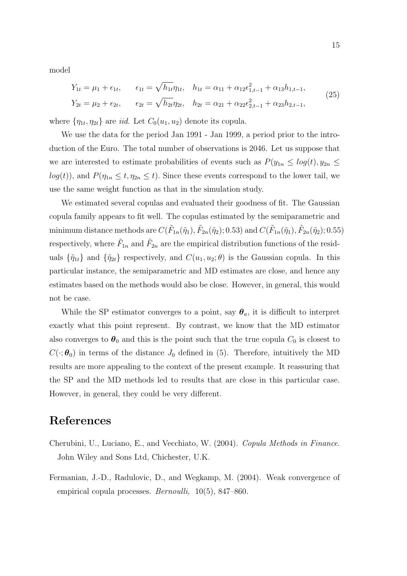model

$$
Y_{1t} = \mu_1 + \epsilon_{1t}, \qquad \epsilon_{1t} = \sqrt{h_{1t}} \eta_{1t}, \quad h_{1t} = \alpha_{11} + \alpha_{12} \epsilon_{1,t-1}^2 + \alpha_{13} h_{1,t-1},
$$
  
\n
$$
Y_{2t} = \mu_2 + \epsilon_{2t}, \qquad \epsilon_{2t} = \sqrt{h_{2t}} \eta_{2t}, \quad h_{2t} = \alpha_{21} + \alpha_{22} \epsilon_{2,t-1}^2 + \alpha_{23} h_{2,t-1},
$$
\n(25)

where  $\{\eta_{1t}, \eta_{2t}\}\$  are *iid*. Let  $C_0(u_1, u_2)$  denote its copula.

We use the data for the period Jan 1991 - Jan 1999, a period prior to the introduction of the Euro. The total number of observations is 2046. Let us suppose that we are interested to estimate probabilities of events such as  $P(y_{1n} \le log(t), y_{2n} \le$  $log(t)$ , and  $P(\eta_{1n} \leq t, \eta_{2n} \leq t)$ . Since these events correspond to the lower tail, we use the same weight function as that in the simulation study.

We estimated several copulas and evaluated their goodness of fit. The Gaussian copula family appears to fit well. The copulas estimated by the semiparametric and minimum distance methods are  $C(\tilde{F}_{1n}(\tilde{\eta}_1), \tilde{F}_{2n}(\tilde{\eta}_2); 0.53)$  and  $C(\tilde{F}_{1n}(\tilde{\eta}_1), \tilde{F}_{2n}(\tilde{\eta}_2); 0.55)$ respectively, where  $\tilde{F}_{1n}$  and  $\tilde{F}_{2n}$  are the empirical distribution functions of the residuals  $\{\tilde{\eta}_{1t}\}\$ and  $\{\tilde{\eta}_{2t}\}\$ respectively, and  $C(u_1, u_2; \theta)\$ is the Gaussian copula. In this particular instance, the semiparametric and MD estimates are close, and hence any estimates based on the methods would also be close. However, in general, this would not be case.

While the SP estimator converges to a point, say  $\theta_a$ , it is difficult to interpret exactly what this point represent. By contrast, we know that the MD estimator also converges to  $\theta_0$  and this is the point such that the true copula  $C_0$  is closest to  $C(\cdot;\boldsymbol{\theta}_0)$  in terms of the distance  $J_0$  defined in (5). Therefore, intuitively the MD results are more appealing to the context of the present example. It reassuring that the SP and the MD methods led to results that are close in this particular case. However, in general, they could be very different.

# References

- Cherubini, U., Luciano, E., and Vecchiato, W. (2004). Copula Methods in Finance. John Wiley and Sons Ltd, Chichester, U.K.
- Fermanian, J.-D., Radulovic, D., and Wegkamp, M. (2004). Weak convergence of empirical copula processes. *Bernoulli*, 10(5), 847–860.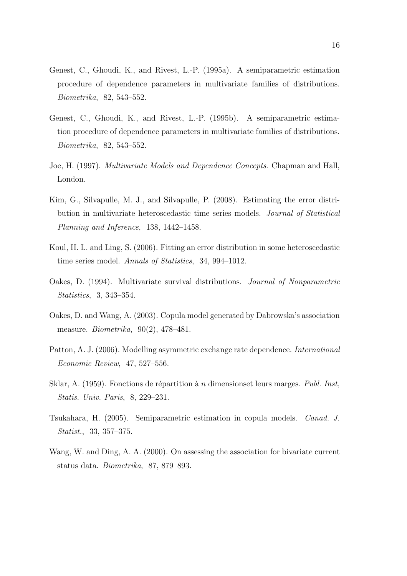- Genest, C., Ghoudi, K., and Rivest, L.-P. (1995a). A semiparametric estimation procedure of dependence parameters in multivariate families of distributions. Biometrika, 82, 543–552.
- Genest, C., Ghoudi, K., and Rivest, L.-P. (1995b). A semiparametric estimation procedure of dependence parameters in multivariate families of distributions. Biometrika, 82, 543–552.
- Joe, H. (1997). Multivariate Models and Dependence Concepts. Chapman and Hall, London.
- Kim, G., Silvapulle, M. J., and Silvapulle, P. (2008). Estimating the error distribution in multivariate heteroscedastic time series models. Journal of Statistical Planning and Inference, 138, 1442–1458.
- Koul, H. L. and Ling, S. (2006). Fitting an error distribution in some heteroscedastic time series model. Annals of Statistics, 34, 994–1012.
- Oakes, D. (1994). Multivariate survival distributions. Journal of Nonparametric Statistics, 3, 343–354.
- Oakes, D. and Wang, A. (2003). Copula model generated by Dabrowska's association measure. Biometrika, 90(2), 478–481.
- Patton, A. J. (2006). Modelling asymmetric exchange rate dependence. International Economic Review, 47, 527–556.
- Sklar, A. (1959). Fonctions de répartition à n dimensionset leurs marges. Publ. Inst. Statis. Univ. Paris, 8, 229–231.
- Tsukahara, H. (2005). Semiparametric estimation in copula models. Canad. J. Statist., 33, 357–375.
- Wang, W. and Ding, A. A. (2000). On assessing the association for bivariate current status data. Biometrika, 87, 879–893.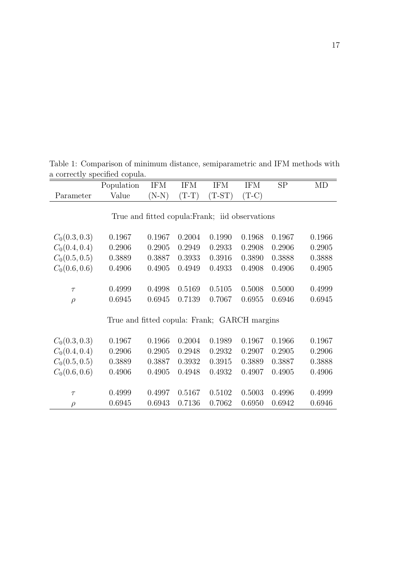|                                                 | Population                                   | <b>IFM</b> | <b>IFM</b> | <b>IFM</b> | <b>IFM</b> | SP     | MD     |
|-------------------------------------------------|----------------------------------------------|------------|------------|------------|------------|--------|--------|
| Parameter                                       | Value                                        | $(N-N)$    | $(T-T)$    | $(T-ST)$   | $(T-C)$    |        |        |
|                                                 |                                              |            |            |            |            |        |        |
| True and fitted copula: Frank; iid observations |                                              |            |            |            |            |        |        |
|                                                 |                                              |            |            |            |            |        |        |
| $C_0(0.3, 0.3)$                                 | 0.1967                                       | 0.1967     | 0.2004     | 0.1990     | 0.1968     | 0.1967 | 0.1966 |
| $C_0(0.4, 0.4)$                                 | 0.2906                                       | 0.2905     | 0.2949     | 0.2933     | 0.2908     | 0.2906 | 0.2905 |
| $C_0(0.5, 0.5)$                                 | 0.3889                                       | 0.3887     | 0.3933     | 0.3916     | 0.3890     | 0.3888 | 0.3888 |
| $C_0(0.6, 0.6)$                                 | 0.4906                                       | 0.4905     | 0.4949     | 0.4933     | 0.4908     | 0.4906 | 0.4905 |
|                                                 |                                              |            |            |            |            |        |        |
| $\tau$                                          | 0.4999                                       | 0.4998     | 0.5169     | 0.5105     | 0.5008     | 0.5000 | 0.4999 |
| $\rho$                                          | 0.6945                                       | 0.6945     | 0.7139     | 0.7067     | 0.6955     | 0.6946 | 0.6945 |
|                                                 |                                              |            |            |            |            |        |        |
|                                                 | True and fitted copula: Frank; GARCH margins |            |            |            |            |        |        |
|                                                 |                                              |            |            |            |            |        |        |
| $C_0(0.3, 0.3)$                                 | 0.1967                                       | 0.1966     | 0.2004     | 0.1989     | 0.1967     | 0.1966 | 0.1967 |
| $C_0(0.4, 0.4)$                                 | 0.2906                                       | 0.2905     | 0.2948     | 0.2932     | 0.2907     | 0.2905 | 0.2906 |
| $C_0(0.5, 0.5)$                                 | 0.3889                                       | 0.3887     | 0.3932     | 0.3915     | 0.3889     | 0.3887 | 0.3888 |
| $C_0(0.6, 0.6)$                                 | 0.4906                                       | 0.4905     | 0.4948     | 0.4932     | 0.4907     | 0.4905 | 0.4906 |
|                                                 |                                              |            |            |            |            |        |        |
| $\tau$                                          | 0.4999                                       | 0.4997     | 0.5167     | 0.5102     | 0.5003     | 0.4996 | 0.4999 |
| $\rho$                                          | 0.6945                                       | 0.6943     | 0.7136     | 0.7062     | 0.6950     | 0.6942 | 0.6946 |

Table 1: Comparison of minimum distance, semiparametric and IFM methods with a correctly specified copula.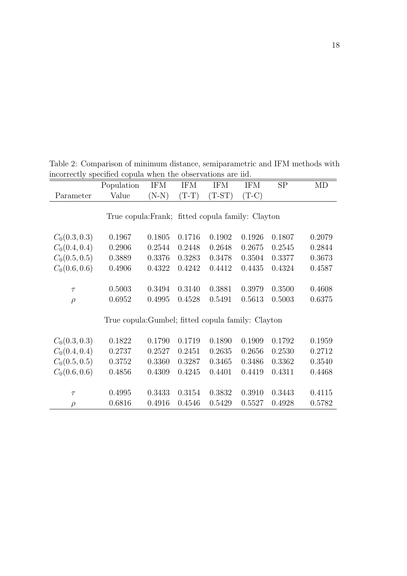|                 | Population                                         | <b>IFM</b> | <b>IFM</b> | <b>IFM</b> | <b>IFM</b> | SP     | MD     |
|-----------------|----------------------------------------------------|------------|------------|------------|------------|--------|--------|
| Parameter       | Value                                              | $(N-N)$    | $(T-T)$    | $(T-ST)$   | $(T-C)$    |        |        |
|                 |                                                    |            |            |            |            |        |        |
|                 | True copula: Frank; fitted copula family: Clayton  |            |            |            |            |        |        |
|                 |                                                    |            |            |            |            |        |        |
| $C_0(0.3, 0.3)$ | 0.1967                                             | 0.1805     | 0.1716     | 0.1902     | 0.1926     | 0.1807 | 0.2079 |
| $C_0(0.4, 0.4)$ | 0.2906                                             | 0.2544     | 0.2448     | 0.2648     | 0.2675     | 0.2545 | 0.2844 |
| $C_0(0.5, 0.5)$ | 0.3889                                             | 0.3376     | 0.3283     | 0.3478     | 0.3504     | 0.3377 | 0.3673 |
| $C_0(0.6, 0.6)$ | 0.4906                                             | 0.4322     | 0.4242     | 0.4412     | 0.4435     | 0.4324 | 0.4587 |
|                 |                                                    |            |            |            |            |        |        |
| $\tau$          | 0.5003                                             | 0.3494     | 0.3140     | 0.3881     | 0.3979     | 0.3500 | 0.4608 |
| $\rho$          | 0.6952                                             | 0.4995     | 0.4528     | 0.5491     | 0.5613     | 0.5003 | 0.6375 |
|                 |                                                    |            |            |            |            |        |        |
|                 | True copula: Gumbel; fitted copula family: Clayton |            |            |            |            |        |        |
|                 |                                                    |            |            |            |            |        |        |
| $C_0(0.3, 0.3)$ | 0.1822                                             | 0.1790     | 0.1719     | 0.1890     | 0.1909     | 0.1792 | 0.1959 |
| $C_0(0.4, 0.4)$ | 0.2737                                             | 0.2527     | 0.2451     | 0.2635     | 0.2656     | 0.2530 | 0.2712 |
| $C_0(0.5, 0.5)$ | 0.3752                                             | 0.3360     | 0.3287     | 0.3465     | 0.3486     | 0.3362 | 0.3540 |
| $C_0(0.6, 0.6)$ | 0.4856                                             | 0.4309     | 0.4245     | 0.4401     | 0.4419     | 0.4311 | 0.4468 |
|                 |                                                    |            |            |            |            |        |        |
| $\tau$          | 0.4995                                             | 0.3433     | 0.3154     | 0.3832     | 0.3910     | 0.3443 | 0.4115 |
| $\rho$          | 0.6816                                             | 0.4916     | 0.4546     | 0.5429     | 0.5527     | 0.4928 | 0.5782 |

Table 2: Comparison of minimum distance, semiparametric and IFM methods with incorrectly specified copula when the observations are iid.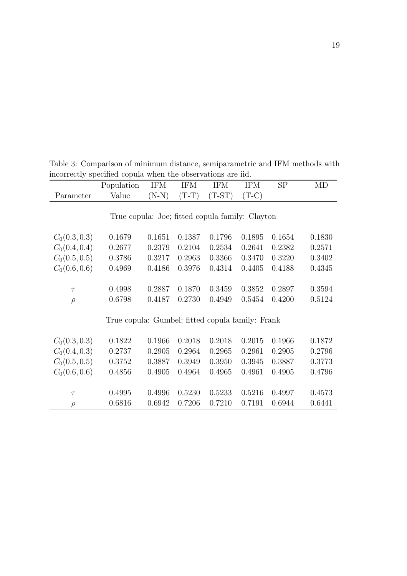|                 | Population                                       | <b>IFM</b> | <b>IFM</b> | <b>IFM</b> | <b>IFM</b> | SP     | MD     |
|-----------------|--------------------------------------------------|------------|------------|------------|------------|--------|--------|
| Parameter       | Value                                            | $(N-N)$    | $(T-T)$    | $(T-ST)$   | $(T-C)$    |        |        |
|                 |                                                  |            |            |            |            |        |        |
|                 | True copula: Joe; fitted copula family: Clayton  |            |            |            |            |        |        |
|                 |                                                  |            |            |            |            |        |        |
| $C_0(0.3, 0.3)$ | 0.1679                                           | 0.1651     | 0.1387     | 0.1796     | 0.1895     | 0.1654 | 0.1830 |
| $C_0(0.4, 0.4)$ | 0.2677                                           | 0.2379     | 0.2104     | 0.2534     | 0.2641     | 0.2382 | 0.2571 |
| $C_0(0.5, 0.5)$ | 0.3786                                           | 0.3217     | 0.2963     | 0.3366     | 0.3470     | 0.3220 | 0.3402 |
| $C_0(0.6, 0.6)$ | 0.4969                                           | 0.4186     | 0.3976     | 0.4314     | 0.4405     | 0.4188 | 0.4345 |
|                 |                                                  |            |            |            |            |        |        |
| $\tau$          | 0.4998                                           | 0.2887     | 0.1870     | 0.3459     | 0.3852     | 0.2897 | 0.3594 |
| $\rho$          | 0.6798                                           | 0.4187     | 0.2730     | 0.4949     | 0.5454     | 0.4200 | 0.5124 |
|                 |                                                  |            |            |            |            |        |        |
|                 | True copula: Gumbel; fitted copula family: Frank |            |            |            |            |        |        |
|                 |                                                  |            |            |            |            |        |        |
| $C_0(0.3, 0.3)$ | 0.1822                                           | 0.1966     | 0.2018     | 0.2018     | 0.2015     | 0.1966 | 0.1872 |
| $C_0(0.4, 0.3)$ | 0.2737                                           | 0.2905     | 0.2964     | 0.2965     | 0.2961     | 0.2905 | 0.2796 |
| $C_0(0.5, 0.5)$ | 0.3752                                           | 0.3887     | 0.3949     | 0.3950     | 0.3945     | 0.3887 | 0.3773 |
| $C_0(0.6, 0.6)$ | 0.4856                                           | 0.4905     | 0.4964     | 0.4965     | 0.4961     | 0.4905 | 0.4796 |
|                 |                                                  |            |            |            |            |        |        |
| $\tau$          | 0.4995                                           | 0.4996     | 0.5230     | 0.5233     | 0.5216     | 0.4997 | 0.4573 |
| $\rho$          | 0.6816                                           | 0.6942     | 0.7206     | 0.7210     | 0.7191     | 0.6944 | 0.6441 |

Table 3: Comparison of minimum distance, semiparametric and IFM methods with incorrectly specified copula when the observations are iid.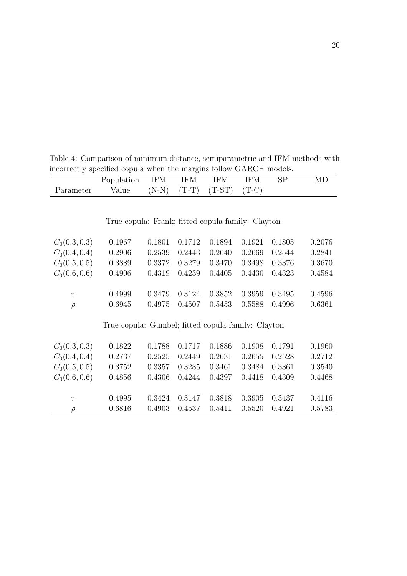Table 4: Comparison of minimum distance, semiparametric and IFM methods with incorrectly specified copula when the margins follow GARCH models.

|                 | Population                                         | <b>IFM</b> | <b>IFM</b> | <b>IFM</b> | <b>IFM</b> | SP     | MD     |
|-----------------|----------------------------------------------------|------------|------------|------------|------------|--------|--------|
| Parameter       | Value                                              | $(N-N)$    | $(T-T)$    | $(T-ST)$   | $(T-C)$    |        |        |
|                 |                                                    |            |            |            |            |        |        |
|                 |                                                    |            |            |            |            |        |        |
|                 | True copula: Frank; fitted copula family: Clayton  |            |            |            |            |        |        |
|                 |                                                    |            |            |            |            |        |        |
| $C_0(0.3, 0.3)$ | 0.1967                                             | 0.1801     | 0.1712     | 0.1894     | 0.1921     | 0.1805 | 0.2076 |
| $C_0(0.4, 0.4)$ | 0.2906                                             | 0.2539     | 0.2443     | 0.2640     | 0.2669     | 0.2544 | 0.2841 |
| $C_0(0.5, 0.5)$ | 0.3889                                             | 0.3372     | 0.3279     | 0.3470     | 0.3498     | 0.3376 | 0.3670 |
| $C_0(0.6, 0.6)$ | 0.4906                                             | 0.4319     | 0.4239     | 0.4405     | 0.4430     | 0.4323 | 0.4584 |
|                 |                                                    |            |            |            |            |        |        |
| $\tau$          | 0.4999                                             | 0.3479     | 0.3124     | 0.3852     | 0.3959     | 0.3495 | 0.4596 |
| $\rho$          | 0.6945                                             | 0.4975     | 0.4507     | 0.5453     | 0.5588     | 0.4996 | 0.6361 |
|                 |                                                    |            |            |            |            |        |        |
|                 | True copula: Gumbel; fitted copula family: Clayton |            |            |            |            |        |        |
|                 |                                                    |            |            |            |            |        |        |
| $C_0(0.3, 0.3)$ | 0.1822                                             | 0.1788     | 0.1717     | 0.1886     | 0.1908     | 0.1791 | 0.1960 |
| $C_0(0.4, 0.4)$ | 0.2737                                             | 0.2525     | 0.2449     | 0.2631     | 0.2655     | 0.2528 | 0.2712 |
| $C_0(0.5, 0.5)$ | 0.3752                                             | 0.3357     | 0.3285     | 0.3461     | 0.3484     | 0.3361 | 0.3540 |
| $C_0(0.6, 0.6)$ | 0.4856                                             | 0.4306     | 0.4244     | 0.4397     | 0.4418     | 0.4309 | 0.4468 |
|                 |                                                    |            |            |            |            |        |        |
| $\tau$          | 0.4995                                             | 0.3424     | 0.3147     | 0.3818     | 0.3905     | 0.3437 | 0.4116 |
| $\rho$          | 0.6816                                             | 0.4903     | 0.4537     | 0.5411     | 0.5520     | 0.4921 | 0.5783 |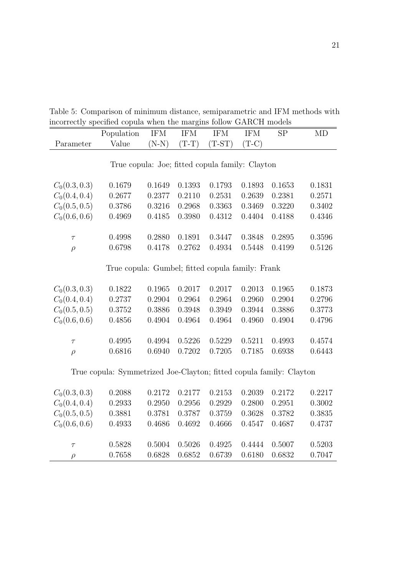Table 5: Comparison of minimum distance, semiparametric and IFM methods with incorrectly specified copula when the margins follow GARCH models

|                                                 | Population                                                          | <b>IFM</b> | <b>IFM</b> | <b>IFM</b> | <b>IFM</b> | <b>SP</b> | MD     |  |
|-------------------------------------------------|---------------------------------------------------------------------|------------|------------|------------|------------|-----------|--------|--|
| Parameter                                       | Value                                                               | $(N-N)$    | $(T-T)$    | $(T-ST)$   | $(T-C)$    |           |        |  |
|                                                 |                                                                     |            |            |            |            |           |        |  |
| True copula: Joe; fitted copula family: Clayton |                                                                     |            |            |            |            |           |        |  |
|                                                 |                                                                     |            |            |            |            |           |        |  |
| $C_0(0.3, 0.3)$                                 | 0.1679                                                              | 0.1649     | 0.1393     | 0.1793     | 0.1893     | 0.1653    | 0.1831 |  |
| $C_0(0.4, 0.4)$                                 | 0.2677                                                              | 0.2377     | 0.2110     | 0.2531     | 0.2639     | 0.2381    | 0.2571 |  |
| $C_0(0.5, 0.5)$                                 | 0.3786                                                              | 0.3216     | 0.2968     | 0.3363     | 0.3469     | 0.3220    | 0.3402 |  |
| $C_0(0.6, 0.6)$                                 | 0.4969                                                              | 0.4185     | 0.3980     | 0.4312     | 0.4404     | 0.4188    | 0.4346 |  |
|                                                 |                                                                     |            |            |            |            |           |        |  |
| $\tau$                                          | 0.4998                                                              | 0.2880     | 0.1891     | 0.3447     | 0.3848     | 0.2895    | 0.3596 |  |
| $\rho$                                          | 0.6798                                                              | 0.4178     | 0.2762     | 0.4934     | 0.5448     | 0.4199    | 0.5126 |  |
|                                                 |                                                                     |            |            |            |            |           |        |  |
|                                                 | True copula: Gumbel; fitted copula family: Frank                    |            |            |            |            |           |        |  |
|                                                 |                                                                     |            |            |            |            |           |        |  |
| $C_0(0.3, 0.3)$                                 | 0.1822                                                              | 0.1965     | 0.2017     | 0.2017     | 0.2013     | 0.1965    | 0.1873 |  |
| $C_0(0.4, 0.4)$                                 | 0.2737                                                              | 0.2904     | 0.2964     | 0.2964     | 0.2960     | 0.2904    | 0.2796 |  |
| $C_0(0.5, 0.5)$                                 | 0.3752                                                              | 0.3886     | 0.3948     | 0.3949     | 0.3944     | 0.3886    | 0.3773 |  |
| $C_0(0.6, 0.6)$                                 | 0.4856                                                              | 0.4904     | 0.4964     | 0.4964     | 0.4960     | 0.4904    | 0.4796 |  |
|                                                 |                                                                     |            |            |            |            |           |        |  |
| $\tau$                                          | 0.4995                                                              | 0.4994     | 0.5226     | 0.5229     | 0.5211     | 0.4993    | 0.4574 |  |
| $\rho$                                          | 0.6816                                                              | 0.6940     | 0.7202     | 0.7205     | 0.7185     | 0.6938    | 0.6443 |  |
|                                                 |                                                                     |            |            |            |            |           |        |  |
|                                                 | True copula: Symmetrized Joe-Clayton; fitted copula family: Clayton |            |            |            |            |           |        |  |
|                                                 |                                                                     |            |            |            |            |           |        |  |
| $C_0(0.3, 0.3)$                                 | 0.2088                                                              | 0.2172     | 0.2177     | 0.2153     | 0.2039     | 0.2172    | 0.2217 |  |
| $C_0(0.4, 0.4)$                                 | 0.2933                                                              | 0.2950     | 0.2956     | 0.2929     | 0.2800     | 0.2951    | 0.3002 |  |
| $C_0(0.5, 0.5)$                                 | 0.3881                                                              | 0.3781     | 0.3787     | 0.3759     | 0.3628     | 0.3782    | 0.3835 |  |
| $C_0(0.6, 0.6)$                                 | 0.4933                                                              | 0.4686     | 0.4692     | 0.4666     | 0.4547     | 0.4687    | 0.4737 |  |
|                                                 |                                                                     |            |            |            |            |           |        |  |
| $\tau$                                          | 0.5828                                                              | 0.5004     | 0.5026     | 0.4925     | 0.4444     | 0.5007    | 0.5203 |  |
| $\rho$                                          | 0.7658                                                              | 0.6828     | 0.6852     | 0.6739     | 0.6180     | 0.6832    | 0.7047 |  |